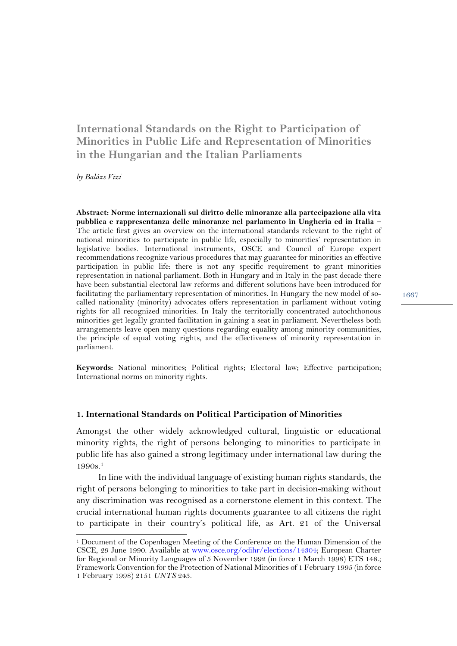# **International Standards on the Right to Participation of Minorities in Public Life and Representation of Minorities in the Hungarian and the Italian Parliaments**

*by Balázs Vizi*

 $\overline{a}$ 

**Abstract: Norme internazionali sul diritto delle minoranze alla partecipazione alla vita pubblica e rappresentanza delle minoranze nel parlamento in Ungheria ed in Italia –** The article first gives an overview on the international standards relevant to the right of national minorities to participate in public life, especially to minorities' representation in legislative bodies. International instruments, OSCE and Council of Europe expert recommendations recognize various procedures that may guarantee for minorities an effective participation in public life: there is not any specific requirement to grant minorities representation in national parliament. Both in Hungary and in Italy in the past decade there have been substantial electoral law reforms and different solutions have been introduced for facilitating the parliamentary representation of minorities. In Hungary the new model of socalled nationality (minority) advocates offers representation in parliament without voting rights for all recognized minorities. In Italy the territorially concentrated autochthonous minorities get legally granted facilitation in gaining a seat in parliament. Nevertheless both arrangements leave open many questions regarding equality among minority communities, the principle of equal voting rights, and the effectiveness of minority representation in parliament.

**Keywords:** National minorities; Political rights; Electoral law; Effective participation; International norms on minority rights.

### **1. International Standards on Political Participation of Minorities**

Amongst the other widely acknowledged cultural, linguistic or educational minority rights, the right of persons belonging to minorities to participate in public life has also gained a strong legitimacy under international law during the 1990s.1

In line with the individual language of existing human rights standards, the right of persons belonging to minorities to take part in decision-making without any discrimination was recognised as a cornerstone element in this context. The crucial international human rights documents guarantee to all citizens the right to participate in their country's political life, as Art. 21 of the Universal

<sup>1</sup> Document of the Copenhagen Meeting of the Conference on the Human Dimension of the CSCE, 29 June 1990. Available at www.osce.org/odihr/elections/14304; European Charter for Regional or Minority Languages of 5 November 1992 (in force 1 March 1998) ETS 148.; Framework Convention for the Protection of National Minorities of 1 February 1995 (in force 1 February 1998) 2151 *UNTS* 243.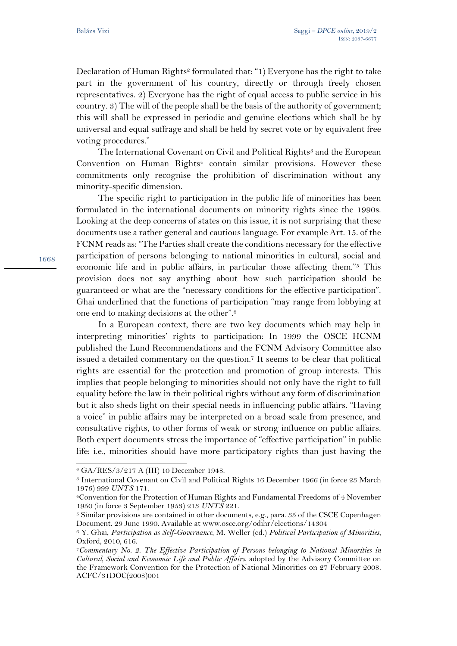1668

l

Declaration of Human Rights<sup>2</sup> formulated that: "1) Everyone has the right to take part in the government of his country, directly or through freely chosen representatives. 2) Everyone has the right of equal access to public service in his country. 3) The will of the people shall be the basis of the authority of government; this will shall be expressed in periodic and genuine elections which shall be by universal and equal suffrage and shall be held by secret vote or by equivalent free voting procedures."

The International Covenant on Civil and Political Rights<sup>3</sup> and the European Convention on Human Rights<sup>4</sup> contain similar provisions. However these commitments only recognise the prohibition of discrimination without any minority-specific dimension.

The specific right to participation in the public life of minorities has been formulated in the international documents on minority rights since the 1990s. Looking at the deep concerns of states on this issue, it is not surprising that these documents use a rather general and cautious language. For example Art. 15. of the FCNM reads as: "The Parties shall create the conditions necessary for the effective participation of persons belonging to national minorities in cultural, social and economic life and in public affairs, in particular those affecting them."5 This provision does not say anything about how such participation should be guaranteed or what are the "necessary conditions for the effective participation". Ghai underlined that the functions of participation "may range from lobbying at one end to making decisions at the other".6

In a European context, there are two key documents which may help in interpreting minorities' rights to participation: In 1999 the OSCE HCNM published the Lund Recommendations and the FCNM Advisory Committee also issued a detailed commentary on the question.7 It seems to be clear that political rights are essential for the protection and promotion of group interests. This implies that people belonging to minorities should not only have the right to full equality before the law in their political rights without any form of discrimination but it also sheds light on their special needs in influencing public affairs. "Having a voice" in public affairs may be interpreted on a broad scale from presence, and consultative rights, to other forms of weak or strong influence on public affairs. Both expert documents stress the importance of "effective participation" in public life: i.e., minorities should have more participatory rights than just having the

<sup>2</sup> GA/RES/3/217 A (III) 10 December 1948.

<sup>3</sup> International Covenant on Civil and Political Rights 16 December 1966 (in force 23 March 1976) 999 *UNTS* 171.

<sup>4</sup>Convention for the Protection of Human Rights and Fundamental Freedoms of 4 November 1950 (in force 3 September 1953) 213 *UNTS* 221. 5 Similar provisions are contained in other documents, e.g., para. 35 of the CSCE Copenhagen

Document. 29 June 1990. Available at www.osce.org/odihr/elections/14304

<sup>6</sup> Y. Ghai, *Participation as Self-Governance*, M. Weller (ed.) *Political Participation of Minorities*, Oxford, 2010, 616.

<sup>7</sup>*Commentary No. 2. The Effective Participation of Persons belonging to National Minorities in Cultural, Social and Economic Life and Public Affairs*. adopted by the Advisory Committee on the Framework Convention for the Protection of National Minorities on 27 February 2008. ACFC/31DOC(2008)001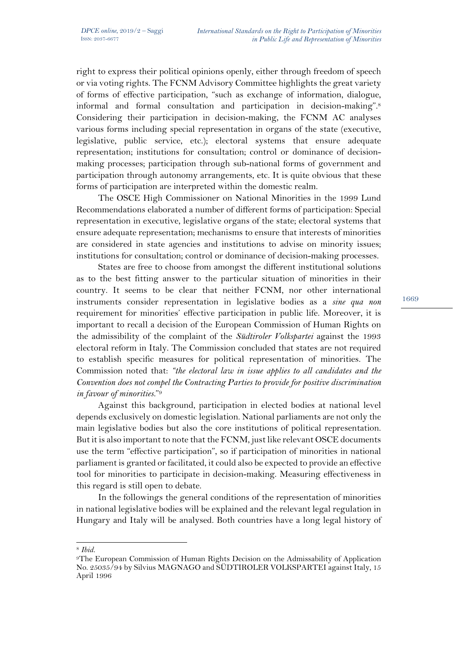right to express their political opinions openly, either through freedom of speech or via voting rights. The FCNM Advisory Committee highlights the great variety of forms of effective participation, "such as exchange of information, dialogue, informal and formal consultation and participation in decision-making".8 Considering their participation in decision-making, the FCNM AC analyses various forms including special representation in organs of the state (executive, legislative, public service, etc.); electoral systems that ensure adequate representation; institutions for consultation; control or dominance of decisionmaking processes; participation through sub-national forms of government and participation through autonomy arrangements, etc. It is quite obvious that these forms of participation are interpreted within the domestic realm.

The OSCE High Commissioner on National Minorities in the 1999 Lund Recommendations elaborated a number of different forms of participation: Special representation in executive, legislative organs of the state; electoral systems that ensure adequate representation; mechanisms to ensure that interests of minorities are considered in state agencies and institutions to advise on minority issues; institutions for consultation; control or dominance of decision-making processes.

States are free to choose from amongst the different institutional solutions as to the best fitting answer to the particular situation of minorities in their country. It seems to be clear that neither FCNM, nor other international instruments consider representation in legislative bodies as a *sine qua non*  requirement for minorities' effective participation in public life. Moreover, it is important to recall a decision of the European Commission of Human Rights on the admissibility of the complaint of the *Südtiroler Volkspartei* against the 1993 electoral reform in Italy. The Commission concluded that states are not required to establish specific measures for political representation of minorities. The Commission noted that: *"the electoral law in issue applies to all candidates and the Convention does not compel the Contracting Parties to provide for positive discrimination in favour of minorities.*"9

Against this background, participation in elected bodies at national level depends exclusively on domestic legislation. National parliaments are not only the main legislative bodies but also the core institutions of political representation. But it is also important to note that the FCNM, just like relevant OSCE documents use the term "effective participation", so if participation of minorities in national parliament is granted or facilitated, it could also be expected to provide an effective tool for minorities to participate in decision-making. Measuring effectiveness in this regard is still open to debate.

In the followings the general conditions of the representation of minorities in national legislative bodies will be explained and the relevant legal regulation in Hungary and Italy will be analysed. Both countries have a long legal history of

<sup>8</sup> *Ibid.*

<sup>9</sup>The European Commission of Human Rights Decision on the Admissability of Application No. 25035/94 by Silvius MAGNAGO and SÜDTIROLER VOLKSPARTEI against Italy, 15 April 1996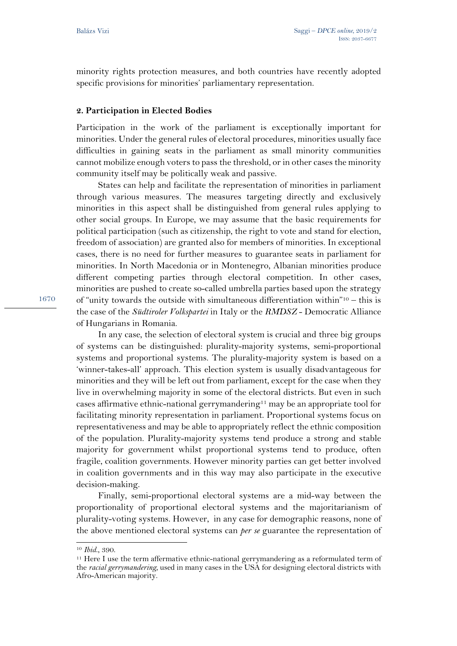minority rights protection measures, and both countries have recently adopted specific provisions for minorities' parliamentary representation.

### **2. Participation in Elected Bodies**

Participation in the work of the parliament is exceptionally important for minorities. Under the general rules of electoral procedures, minorities usually face difficulties in gaining seats in the parliament as small minority communities cannot mobilize enough voters to pass the threshold, or in other cases the minority community itself may be politically weak and passive.

States can help and facilitate the representation of minorities in parliament through various measures. The measures targeting directly and exclusively minorities in this aspect shall be distinguished from general rules applying to other social groups. In Europe, we may assume that the basic requirements for political participation (such as citizenship, the right to vote and stand for election, freedom of association) are granted also for members of minorities. In exceptional cases, there is no need for further measures to guarantee seats in parliament for minorities. In North Macedonia or in Montenegro, Albanian minorities produce different competing parties through electoral competition. In other cases, minorities are pushed to create so-called umbrella parties based upon the strategy of "unity towards the outside with simultaneous differentiation within"10 – this is the case of the *Südtiroler Volkspartei* in Italy or the *RMDSZ* - Democratic Alliance of Hungarians in Romania.

In any case, the selection of electoral system is crucial and three big groups of systems can be distinguished: plurality-majority systems, semi-proportional systems and proportional systems. The plurality-majority system is based on a 'winner-takes-all' approach. This election system is usually disadvantageous for minorities and they will be left out from parliament, except for the case when they live in overwhelming majority in some of the electoral districts. But even in such cases affirmative ethnic-national gerrymandering<sup>11</sup> may be an appropriate tool for facilitating minority representation in parliament. Proportional systems focus on representativeness and may be able to appropriately reflect the ethnic composition of the population. Plurality-majority systems tend produce a strong and stable majority for government whilst proportional systems tend to produce, often fragile, coalition governments. However minority parties can get better involved in coalition governments and in this way may also participate in the executive decision-making.

Finally, semi-proportional electoral systems are a mid-way between the proportionality of proportional electoral systems and the majoritarianism of plurality-voting systems. However, in any case for demographic reasons, none of the above mentioned electoral systems can *per se* guarantee the representation of

<sup>10</sup> *Ibid*., 390.

<sup>11</sup> Here I use the term affermative ethnic-national gerrymandering as a reformulated term of the *racial gerrymandering*, used in many cases in the USA for designing electoral districts with Afro-American majority.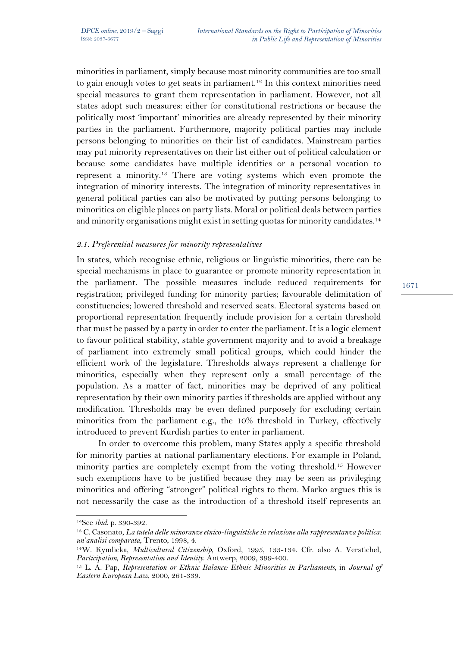minorities in parliament, simply because most minority communities are too small to gain enough votes to get seats in parliament.12 In this context minorities need special measures to grant them representation in parliament. However, not all states adopt such measures: either for constitutional restrictions or because the politically most 'important' minorities are already represented by their minority parties in the parliament. Furthermore, majority political parties may include persons belonging to minorities on their list of candidates. Mainstream parties may put minority representatives on their list either out of political calculation or because some candidates have multiple identities or a personal vocation to represent a minority.13 There are voting systems which even promote the integration of minority interests. The integration of minority representatives in general political parties can also be motivated by putting persons belonging to minorities on eligible places on party lists. Moral or political deals between parties and minority organisations might exist in setting quotas for minority candidates.<sup>14</sup>

# *2.1. Preferential measures for minority representatives*

In states, which recognise ethnic, religious or linguistic minorities, there can be special mechanisms in place to guarantee or promote minority representation in the parliament. The possible measures include reduced requirements for registration; privileged funding for minority parties; favourable delimitation of constituencies; lowered threshold and reserved seats. Electoral systems based on proportional representation frequently include provision for a certain threshold that must be passed by a party in order to enter the parliament. It is a logic element to favour political stability, stable government majority and to avoid a breakage of parliament into extremely small political groups, which could hinder the efficient work of the legislature. Thresholds always represent a challenge for minorities, especially when they represent only a small percentage of the population. As a matter of fact, minorities may be deprived of any political representation by their own minority parties if thresholds are applied without any modification. Thresholds may be even defined purposely for excluding certain minorities from the parliament e.g., the 10% threshold in Turkey, effectively introduced to prevent Kurdish parties to enter in parliament.

In order to overcome this problem, many States apply a specific threshold for minority parties at national parliamentary elections. For example in Poland, minority parties are completely exempt from the voting threshold.15 However such exemptions have to be justified because they may be seen as privileging minorities and offering "stronger" political rights to them. Marko argues this is not necessarily the case as the introduction of a threshold itself represents an

<sup>12</sup>See *ibid*. p. 390-392. 13 C. Casonato, *La tutela delle minoranze etnico-linguistiche in relazione alla rappresentanza politica: un'analisi comparata*, Trento, 1998, 4.

<sup>14</sup>W. Kymlicka, *Multicultural Citizenship*, Oxford, 1995, 133-134. Cfr. also A. Verstichel, *Participation, Representation and Identity*. Antwerp, 2009, 399-400.

<sup>15</sup> L. A. Pap, *Representation or Ethnic Balance: Ethnic Minorities in Parliaments,* in *Journal of Eastern European Law*, 2000, 261-339.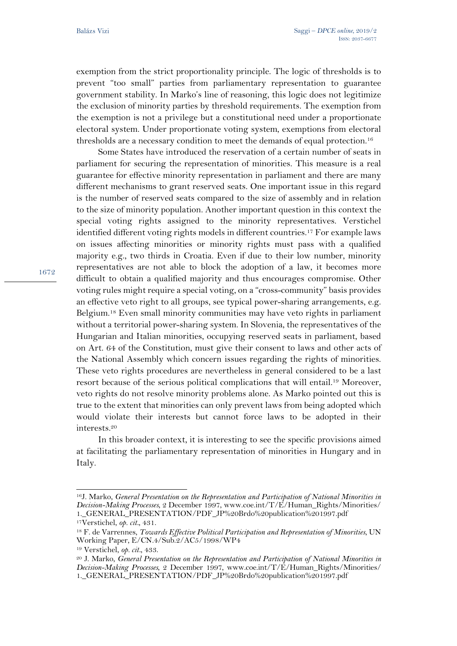exemption from the strict proportionality principle. The logic of thresholds is to prevent "too small" parties from parliamentary representation to guarantee government stability. In Marko's line of reasoning, this logic does not legitimize the exclusion of minority parties by threshold requirements. The exemption from the exemption is not a privilege but a constitutional need under a proportionate electoral system. Under proportionate voting system, exemptions from electoral thresholds are a necessary condition to meet the demands of equal protection.<sup>16</sup>

Some States have introduced the reservation of a certain number of seats in parliament for securing the representation of minorities. This measure is a real guarantee for effective minority representation in parliament and there are many different mechanisms to grant reserved seats. One important issue in this regard is the number of reserved seats compared to the size of assembly and in relation to the size of minority population. Another important question in this context the special voting rights assigned to the minority representatives. Verstichel identified different voting rights models in different countries.17 For example laws on issues affecting minorities or minority rights must pass with a qualified majority e.g., two thirds in Croatia. Even if due to their low number, minority representatives are not able to block the adoption of a law, it becomes more difficult to obtain a qualified majority and thus encourages compromise. Other voting rules might require a special voting, on a "cross-community" basis provides an effective veto right to all groups, see typical power-sharing arrangements, e.g. Belgium.18 Even small minority communities may have veto rights in parliament without a territorial power-sharing system. In Slovenia, the representatives of the Hungarian and Italian minorities, occupying reserved seats in parliament, based on Art. 64 of the Constitution, must give their consent to laws and other acts of the National Assembly which concern issues regarding the rights of minorities. These veto rights procedures are nevertheless in general considered to be a last resort because of the serious political complications that will entail.19 Moreover, veto rights do not resolve minority problems alone. As Marko pointed out this is true to the extent that minorities can only prevent laws from being adopted which would violate their interests but cannot force laws to be adopted in their interests.20

In this broader context, it is interesting to see the specific provisions aimed at facilitating the parliamentary representation of minorities in Hungary and in Italy.

<sup>16</sup>J. Marko, *General Presentation on the Representation and Participation of National Minorities in Decision-Making Processes*, 2 December 1997, www.coe.int/T/E/Human\_Rights/Minorities/ 1.\_GENERAL\_PRESENTATION/PDF\_JP%20Brdo%20publication%201997.pdf

<sup>17</sup>Verstichel, *op. cit.*, 431.

<sup>18</sup> F. de Varrennes, *Towards Effective Political Participation and Representation of Minorities*, UN Working Paper, E/CN.4/Sub.2/AC5/1998/WP4

<sup>19</sup> Verstichel, *op. cit.*, 433.

<sup>20</sup> J. Marko, *General Presentation on the Representation and Participation of National Minorities in Decision-Making Processes*, 2 December 1997, www.coe.int/T/E/Human\_Rights/Minorities/ 1. GENERAL\_PRESENTATION/PDF\_JP%20Brdo%20publication%201997.pdf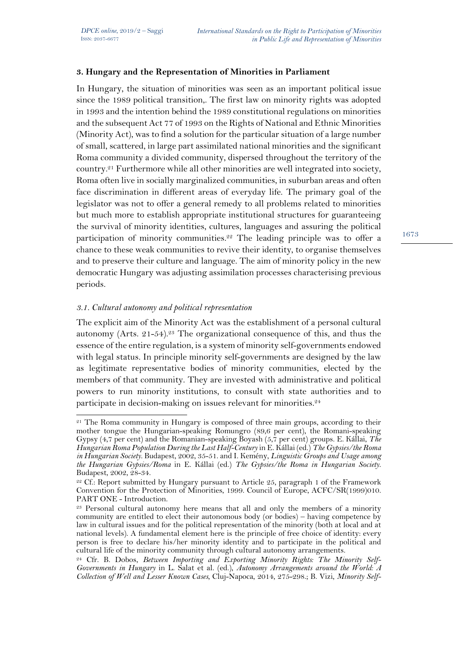### **3. Hungary and the Representation of Minorities in Parliament**

In Hungary, the situation of minorities was seen as an important political issue since the 1989 political transition,. The first law on minority rights was adopted in 1993 and the intention behind the 1989 constitutional regulations on minorities and the subsequent Act 77 of 1993 on the Rights of National and Ethnic Minorities (Minority Act), was to find a solution for the particular situation of a large number of small, scattered, in large part assimilated national minorities and the significant Roma community a divided community, dispersed throughout the territory of the country.21 Furthermore while all other minorities are well integrated into society, Roma often live in socially marginalized communities, in suburban areas and often face discrimination in different areas of everyday life. The primary goal of the legislator was not to offer a general remedy to all problems related to minorities but much more to establish appropriate institutional structures for guaranteeing the survival of minority identities, cultures, languages and assuring the political participation of minority communities.22 The leading principle was to offer a chance to these weak communities to revive their identity, to organise themselves and to preserve their culture and language. The aim of minority policy in the new democratic Hungary was adjusting assimilation processes characterising previous periods.

### *3.1. Cultural autonomy and political representation*

The explicit aim of the Minority Act was the establishment of a personal cultural autonomy (Arts. 21-54).<sup>23</sup> The organizational consequence of this, and thus the essence of the entire regulation, is a system of minority self-governments endowed with legal status. In principle minority self-governments are designed by the law as legitimate representative bodies of minority communities, elected by the members of that community. They are invested with administrative and political powers to run minority institutions, to consult with state authorities and to participate in decision-making on issues relevant for minorities.<sup>24</sup>

 $\overline{a}$ <sup>21</sup> The Roma community in Hungary is composed of three main groups, according to their mother tongue the Hungarian-speaking Romungro (89,6 per cent), the Romani-speaking Gypsy (4,7 per cent) and the Romanian-speaking Boyash (5,7 per cent) groups. E. Kállai, *The Hungarian Roma Population During the Last Half-Century* in E. Kállai (ed.) *The Gypsies/the Roma in Hungarian Society*. Budapest, 2002, 35-51. and I. Kemény, *Linguistic Groups and Usage among the Hungarian Gypsies/Roma* in E. Kállai (ed.) *The Gypsies/the Roma in Hungarian Society*. Budapest, 2002, 28-34.

<sup>&</sup>lt;sup>22</sup> Cf.: Report submitted by Hungary pursuant to Article 25, paragraph 1 of the Framework Convention for the Protection of Minorities, 1999. Council of Europe, ACFC/SR(1999)010. PART ONE - Introduction.<br><sup>23</sup> Personal cultural autonomy here means that all and only the members of a minority

community are entitled to elect their autonomous body (or bodies) – having competence by law in cultural issues and for the political representation of the minority (both at local and at national levels). A fundamental element here is the principle of free choice of identity: every person is free to declare his/her minority identity and to participate in the political and cultural life of the minority community through cultural autonomy arrangements.

<sup>24</sup> Cfr. B. Dobos, *Between Importing and Exporting Minority Rights: The Minority Self-Governments in Hungary* in L. Salat et al. (ed.), *Autonomy Arrangements around the World: A Collection of Well and Lesser Known Cases*, Cluj-Napoca, 2014, 275-298.; B. Vizi, *Minority Self-*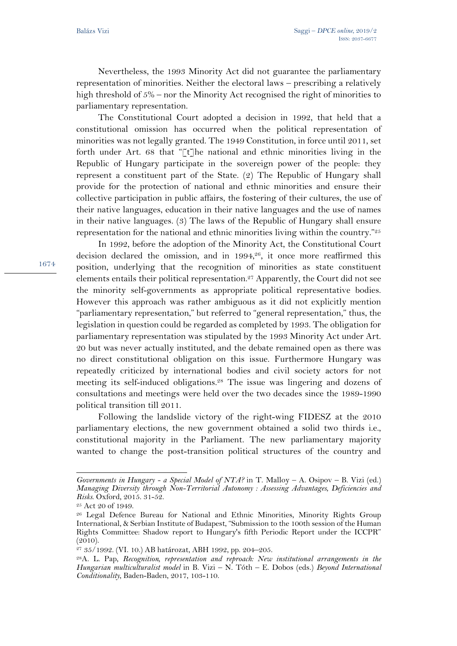1674

Nevertheless, the 1993 Minority Act did not guarantee the parliamentary representation of minorities. Neither the electoral laws – prescribing a relatively high threshold of  $5\%$  – nor the Minority Act recognised the right of minorities to parliamentary representation.

The Constitutional Court adopted a decision in 1992, that held that a constitutional omission has occurred when the political representation of minorities was not legally granted. The 1949 Constitution, in force until 2011, set forth under Art. 68 that "[t]he national and ethnic minorities living in the Republic of Hungary participate in the sovereign power of the people: they represent a constituent part of the State. (2) The Republic of Hungary shall provide for the protection of national and ethnic minorities and ensure their collective participation in public affairs, the fostering of their cultures, the use of their native languages, education in their native languages and the use of names in their native languages. (3) The laws of the Republic of Hungary shall ensure representation for the national and ethnic minorities living within the country."25

In 1992, before the adoption of the Minority Act, the Constitutional Court decision declared the omission, and in 1994,<sup>26</sup>, it once more reaffirmed this position, underlying that the recognition of minorities as state constituent elements entails their political representation.27 Apparently, the Court did not see the minority self-governments as appropriate political representative bodies. However this approach was rather ambiguous as it did not explicitly mention "parliamentary representation," but referred to "general representation," thus, the legislation in question could be regarded as completed by 1993. The obligation for parliamentary representation was stipulated by the 1993 Minority Act under Art. 20 but was never actually instituted, and the debate remained open as there was no direct constitutional obligation on this issue. Furthermore Hungary was repeatedly criticized by international bodies and civil society actors for not meeting its self-induced obligations.28 The issue was lingering and dozens of consultations and meetings were held over the two decades since the 1989-1990 political transition till 2011.

Following the landslide victory of the right-wing FIDESZ at the 2010 parliamentary elections, the new government obtained a solid two thirds i.e., constitutional majority in the Parliament. The new parliamentary majority wanted to change the post-transition political structures of the country and

l

*Governments in Hungary - a Special Model of NTA?* in T. Malloy – A. Osipov – B. Vizi (ed.) *Managing Diversity through Non-Territorial Autonomy : Assessing Advantages, Deficiencies and Risks*. Oxford, 2015. 31-52.

<sup>25</sup> Act 20 of 1949.

<sup>&</sup>lt;sup>26</sup> Legal Defence Bureau for National and Ethnic Minorities, Minority Rights Group International, & Serbian Institute of Budapest, "Submission to the 100th session of the Human Rights Committee: Shadow report to Hungary's fifth Periodic Report under the ICCPR" (2010).

<sup>27</sup> 35/1992. (VI. 10.) AB határozat, ABH 1992, pp. 204–205.

<sup>28</sup>A. L. Pap, *Recognition, representation and reproach: New institutional arrangements in the Hungarian multiculturalist model* in B. Vizi – N. Tóth – E. Dobos (eds.) *Beyond International Conditionality*, Baden-Baden, 2017, 103-110.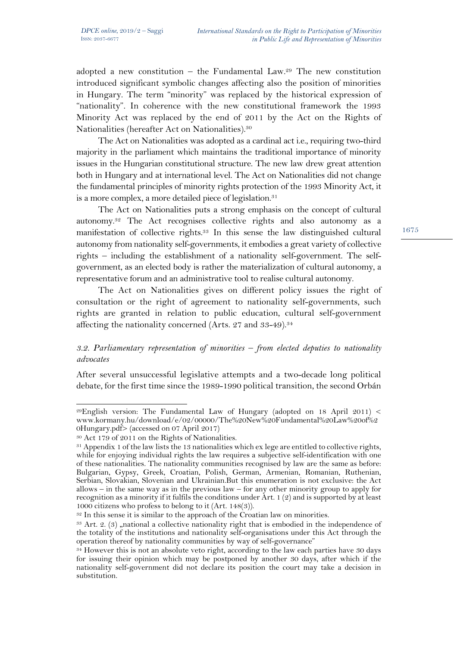adopted a new constitution – the Fundamental Law.<sup>29</sup> The new constitution introduced significant symbolic changes affecting also the position of minorities in Hungary. The term "minority" was replaced by the historical expression of "nationality". In coherence with the new constitutional framework the 1993 Minority Act was replaced by the end of 2011 by the Act on the Rights of Nationalities (hereafter Act on Nationalities).30

The Act on Nationalities was adopted as a cardinal act i.e., requiring two-third majority in the parliament which maintains the traditional importance of minority issues in the Hungarian constitutional structure. The new law drew great attention both in Hungary and at international level. The Act on Nationalities did not change the fundamental principles of minority rights protection of the 1993 Minority Act, it is a more complex, a more detailed piece of legislation.<sup>31</sup>

The Act on Nationalities puts a strong emphasis on the concept of cultural autonomy.32 The Act recognises collective rights and also autonomy as a manifestation of collective rights.33 In this sense the law distinguished cultural autonomy from nationality self-governments, it embodies a great variety of collective rights – including the establishment of a nationality self-government. The selfgovernment, as an elected body is rather the materialization of cultural autonomy, a representative forum and an administrative tool to realise cultural autonomy.

The Act on Nationalities gives on different policy issues the right of consultation or the right of agreement to nationality self-governments, such rights are granted in relation to public education, cultural self-government affecting the nationality concerned (Arts. 27 and 33-49).<sup>34</sup>

# *3.2. Parliamentary representation of minorities – from elected deputies to nationality advocates*

After several unsuccessful legislative attempts and a two-decade long political debate, for the first time since the 1989-1990 political transition, the second Orbán

 $\overline{a}$ 29English version: The Fundamental Law of Hungary (adopted on 18 April 2011) < www.kormany.hu/download/e/02/00000/The%20New%20Fundamental%20Law%20of%2 0Hungary.pdf> (accessed on 07 April 2017)

<sup>30</sup> Act 179 of 2011 on the Rights of Nationalities.

<sup>&</sup>lt;sup>31</sup> Appendix 1 of the law lists the 13 nationalities which ex lege are entitled to collective rights, while for enjoying individual rights the law requires a subjective self-identification with one of these nationalities. The nationality communities recognised by law are the same as before: Bulgarian, Gypsy, Greek, Croatian, Polish, German, Armenian, Romanian, Ruthenian, Serbian, Slovakian, Slovenian and Ukrainian.But this enumeration is not exclusive: the Act allows – in the same way as in the previous law – for any other minority group to apply for recognition as a minority if it fulfils the conditions under Art. 1 (2) and is supported by at least 1000 citizens who profess to belong to it (Art. 148(3)).

<sup>&</sup>lt;sup>32</sup> In this sense it is similar to the approach of the Croatian law on minorities.

 $33$  Art. 2. (3) , national a collective nationality right that is embodied in the independence of the totality of the institutions and nationality self-organisations under this Act through the operation thereof by nationality communities by way of self-governance"

<sup>&</sup>lt;sup>34</sup> However this is not an absolute veto right, according to the law each parties have 30 days for issuing their opinion which may be postponed by another 30 days, after which if the nationality self-government did not declare its position the court may take a decision in substitution.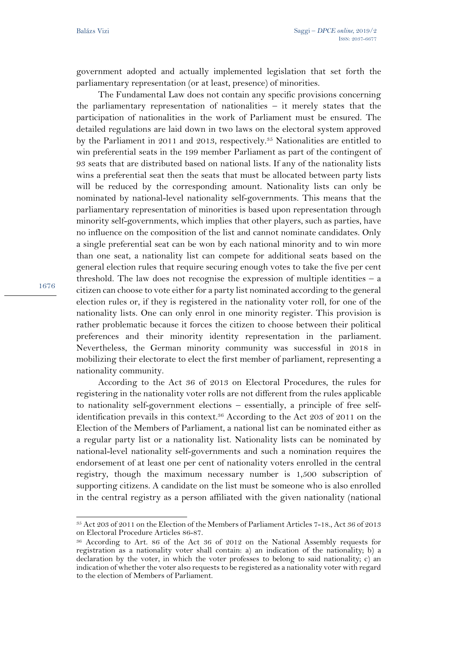1676

 $\overline{a}$ 

government adopted and actually implemented legislation that set forth the parliamentary representation (or at least, presence) of minorities.

The Fundamental Law does not contain any specific provisions concerning the parliamentary representation of nationalities  $-$  it merely states that the participation of nationalities in the work of Parliament must be ensured. The detailed regulations are laid down in two laws on the electoral system approved by the Parliament in 2011 and 2013, respectively.35 Nationalities are entitled to win preferential seats in the 199 member Parliament as part of the contingent of 93 seats that are distributed based on national lists. If any of the nationality lists wins a preferential seat then the seats that must be allocated between party lists will be reduced by the corresponding amount. Nationality lists can only be nominated by national-level nationality self-governments. This means that the parliamentary representation of minorities is based upon representation through minority self-governments, which implies that other players, such as parties, have no influence on the composition of the list and cannot nominate candidates. Only a single preferential seat can be won by each national minority and to win more than one seat, a nationality list can compete for additional seats based on the general election rules that require securing enough votes to take the five per cent threshold. The law does not recognise the expression of multiple identities – a citizen can choose to vote either for a party list nominated according to the general election rules or, if they is registered in the nationality voter roll, for one of the nationality lists. One can only enrol in one minority register. This provision is rather problematic because it forces the citizen to choose between their political preferences and their minority identity representation in the parliament. Nevertheless, the German minority community was successful in 2018 in mobilizing their electorate to elect the first member of parliament, representing a nationality community.

According to the Act 36 of 2013 on Electoral Procedures, the rules for registering in the nationality voter rolls are not different from the rules applicable to nationality self-government elections – essentially, a principle of free selfidentification prevails in this context.36 According to the Act 203 of 2011 on the Election of the Members of Parliament, a national list can be nominated either as a regular party list or a nationality list. Nationality lists can be nominated by national-level nationality self-governments and such a nomination requires the endorsement of at least one per cent of nationality voters enrolled in the central registry, though the maximum necessary number is 1,500 subscription of supporting citizens. A candidate on the list must be someone who is also enrolled in the central registry as a person affiliated with the given nationality (national

<sup>35</sup> Act 203 of 2011 on the Election of the Members of Parliament Articles 7-18., Act 36 of 2013 on Electoral Procedure Articles 86-87.

<sup>36</sup> According to Art. 86 of the Act 36 of 2012 on the National Assembly requests for registration as a nationality voter shall contain: a) an indication of the nationality; b) a declaration by the voter, in which the voter professes to belong to said nationality; c) an indication of whether the voter also requests to be registered as a nationality voter with regard to the election of Members of Parliament.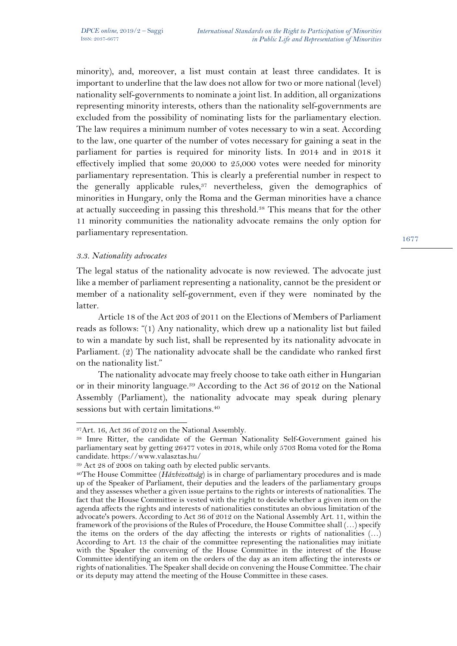minority), and, moreover, a list must contain at least three candidates. It is important to underline that the law does not allow for two or more national (level) nationality self-governments to nominate a joint list. In addition, all organizations representing minority interests, others than the nationality self-governments are excluded from the possibility of nominating lists for the parliamentary election. The law requires a minimum number of votes necessary to win a seat. According to the law, one quarter of the number of votes necessary for gaining a seat in the parliament for parties is required for minority lists. In 2014 and in 2018 it effectively implied that some 20,000 to 25,000 votes were needed for minority parliamentary representation. This is clearly a preferential number in respect to the generally applicable rules,  $37$  nevertheless, given the demographics of minorities in Hungary, only the Roma and the German minorities have a chance at actually succeeding in passing this threshold.38 This means that for the other 11 minority communities the nationality advocate remains the only option for parliamentary representation.

### *3.3. Nationality advocates*

 $\overline{a}$ 

The legal status of the nationality advocate is now reviewed. The advocate just like a member of parliament representing a nationality, cannot be the president or member of a nationality self-government, even if they were nominated by the latter.

Article 18 of the Act 203 of 2011 on the Elections of Members of Parliament reads as follows: "(1) Any nationality, which drew up a nationality list but failed to win a mandate by such list, shall be represented by its nationality advocate in Parliament. (2) The nationality advocate shall be the candidate who ranked first on the nationality list."

The nationality advocate may freely choose to take oath either in Hungarian or in their minority language.39 According to the Act 36 of 2012 on the National Assembly (Parliament), the nationality advocate may speak during plenary sessions but with certain limitations.<sup>40</sup>

<sup>37</sup>Art. 16, Act 36 of 2012 on the National Assembly.

<sup>38</sup> Imre Ritter, the candidate of the German Nationality Self-Government gained his parliamentary seat by getting 26477 votes in 2018, while only 5703 Roma voted for the Roma candidate. https://www.valasztas.hu/

<sup>39</sup> Act 28 of 2008 on taking oath by elected public servants. 40The House Committee (*Házbizottság*) is in charge of parliamentary procedures and is made up of the Speaker of Parliament, their deputies and the leaders of the parliamentary groups and they assesses whether a given issue pertains to the rights or interests of nationalities. The fact that the House Committee is vested with the right to decide whether a given item on the agenda affects the rights and interests of nationalities constitutes an obvious limitation of the advocate's powers. According to Act 36 of 2012 on the National Assembly Art. 11, within the framework of the provisions of the Rules of Procedure, the House Committee shall (…) specify the items on the orders of the day affecting the interests or rights of nationalities  $(...)$ According to Art. 13 the chair of the committee representing the nationalities may initiate with the Speaker the convening of the House Committee in the interest of the House Committee identifying an item on the orders of the day as an item affecting the interests or rights of nationalities. The Speaker shall decide on convening the House Committee. The chair or its deputy may attend the meeting of the House Committee in these cases.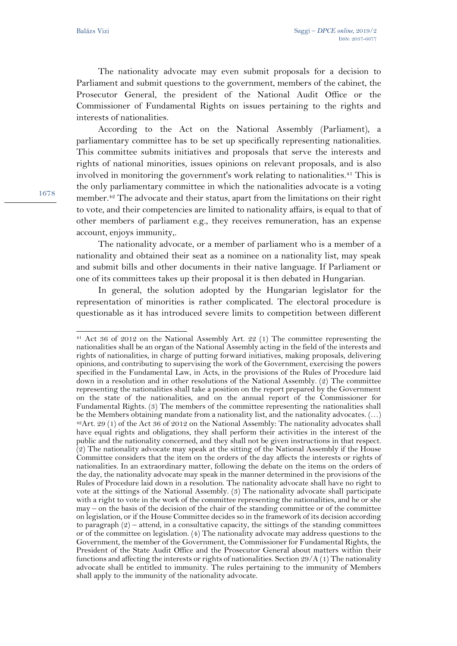The nationality advocate may even submit proposals for a decision to Parliament and submit questions to the government, members of the cabinet, the Prosecutor General, the president of the National Audit Office or the Commissioner of Fundamental Rights on issues pertaining to the rights and interests of nationalities.

According to the Act on the National Assembly (Parliament), a parliamentary committee has to be set up specifically representing nationalities. This committee submits initiatives and proposals that serve the interests and rights of national minorities, issues opinions on relevant proposals, and is also involved in monitoring the government's work relating to nationalities.<sup>41</sup> This is the only parliamentary committee in which the nationalities advocate is a voting member.42 The advocate and their status, apart from the limitations on their right to vote, and their competencies are limited to nationality affairs, is equal to that of other members of parliament e.g., they receives remuneration, has an expense account, enjoys immunity,.

The nationality advocate, or a member of parliament who is a member of a nationality and obtained their seat as a nominee on a nationality list, may speak and submit bills and other documents in their native language. If Parliament or one of its committees takes up their proposal it is then debated in Hungarian.

In general, the solution adopted by the Hungarian legislator for the representation of minorities is rather complicated. The electoral procedure is questionable as it has introduced severe limits to competition between different

l

<sup>41</sup> Act 36 of 2012 on the National Assembly Art. 22 (1) The committee representing the nationalities shall be an organ of the National Assembly acting in the field of the interests and rights of nationalities, in charge of putting forward initiatives, making proposals, delivering opinions, and contributing to supervising the work of the Government, exercising the powers specified in the Fundamental Law, in Acts, in the provisions of the Rules of Procedure laid down in a resolution and in other resolutions of the National Assembly. (2) The committee representing the nationalities shall take a position on the report prepared by the Government on the state of the nationalities, and on the annual report of the Commissioner for Fundamental Rights. (3) The members of the committee representing the nationalities shall be the Members obtaining mandate from a nationality list, and the nationality advocates. (…) 42Art. 29 (1) of the Act 36 of 2012 on the National Assembly: The nationality advocates shall have equal rights and obligations, they shall perform their activities in the interest of the public and the nationality concerned, and they shall not be given instructions in that respect.  $(2)$  The nationality advocate may speak at the sitting of the National Assembly if the House Committee considers that the item on the orders of the day affects the interests or rights of nationalities. In an extraordinary matter, following the debate on the items on the orders of the day, the nationality advocate may speak in the manner determined in the provisions of the Rules of Procedure laid down in a resolution. The nationality advocate shall have no right to vote at the sittings of the National Assembly. (3) The nationality advocate shall participate with a right to vote in the work of the committee representing the nationalities, and he or she may – on the basis of the decision of the chair of the standing committee or of the committee on legislation, or if the House Committee decides so in the framework of its decision according to paragraph  $(2)$  – attend, in a consultative capacity, the sittings of the standing committees or of the committee on legislation. (4) The nationality advocate may address questions to the Government, the member of the Government, the Commissioner for Fundamental Rights, the President of the State Audit Office and the Prosecutor General about matters within their functions and affecting the interests or rights of nationalities. Section  $29/A(1)$  The nationality advocate shall be entitled to immunity. The rules pertaining to the immunity of Members shall apply to the immunity of the nationality advocate.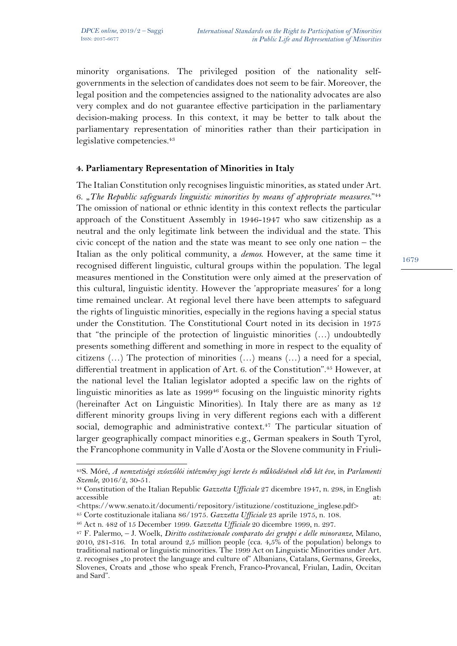$\overline{a}$ 

minority organisations. The privileged position of the nationality selfgovernments in the selection of candidates does not seem to be fair. Moreover, the legal position and the competencies assigned to the nationality advocates are also very complex and do not guarantee effective participation in the parliamentary decision-making process. In this context, it may be better to talk about the parliamentary representation of minorities rather than their participation in legislative competencies.<sup>43</sup>

# **4. Parliamentary Representation of Minorities in Italy**

The Italian Constitution only recognises linguistic minorities, as stated under Art. 6. "*The Republic safeguards linguistic minorities by means of appropriate measures.*"44 The omission of national or ethnic identity in this context reflects the particular approach of the Constituent Assembly in 1946-1947 who saw citizenship as a neutral and the only legitimate link between the individual and the state. This civic concept of the nation and the state was meant to see only one nation – the Italian as the only political community, a *demos*. However, at the same time it recognised different linguistic, cultural groups within the population. The legal measures mentioned in the Constitution were only aimed at the preservation of this cultural, linguistic identity. However the 'appropriate measures' for a long time remained unclear. At regional level there have been attempts to safeguard the rights of linguistic minorities, especially in the regions having a special status under the Constitution. The Constitutional Court noted in its decision in 1975 that "the principle of the protection of linguistic minorities (…) undoubtedly presents something different and something in more in respect to the equality of citizens (…) The protection of minorities (…) means (…) a need for a special, differential treatment in application of Art. 6. of the Constitution".45 However, at the national level the Italian legislator adopted a specific law on the rights of linguistic minorities as late as 1999<sup>46</sup> focusing on the linguistic minority rights (hereinafter Act on Linguistic Minorities). In Italy there are as many as 12 different minority groups living in very different regions each with a different social, demographic and administrative context.<sup>47</sup> The particular situation of larger geographically compact minorities e.g., German speakers in South Tyrol, the Francophone community in Valle d'Aosta or the Slovene community in Friuli-

<sup>43</sup>S. Móré, *A nemzetiségi szószólói intézmény jogi kerete és működésének első két éve*, in *Parlamenti Szemle*, 2016/2, 30-51.

<sup>44</sup> Constitution of the Italian Republic *Gazzetta Ufficiale* 27 dicembre 1947, n. 298, in English accessible at:

<sup>&</sup>lt;https://www.senato.it/documenti/repository/istituzione/costituzione\_inglese.pdf>

<sup>&</sup>lt;sup>45</sup> Corte costituzionale italiana 86/1975. *Gazzetta Ufficiale* 23 aprile 1975, n. 108.<br><sup>46</sup> Act n. 482 of 15 December 1999. *Gazzetta Ufficiale* 20 dicembre 1999, n. 297.<br><sup>47</sup> F. Palermo, – J. Woelk, *Diritto costituzio* 2010, 281-316. In total around 2,5 million people (cca.  $4,5\%$  of the population) belongs to traditional national or linguistic minorities. The 1999 Act on Linguistic Minorities under Art. 2. recognises "to protect the language and culture of" Albanians, Catalans, Germans, Greeks, Slovenes, Croats and "those who speak French, Franco-Provancal, Friulan, Ladin, Occitan and Sard".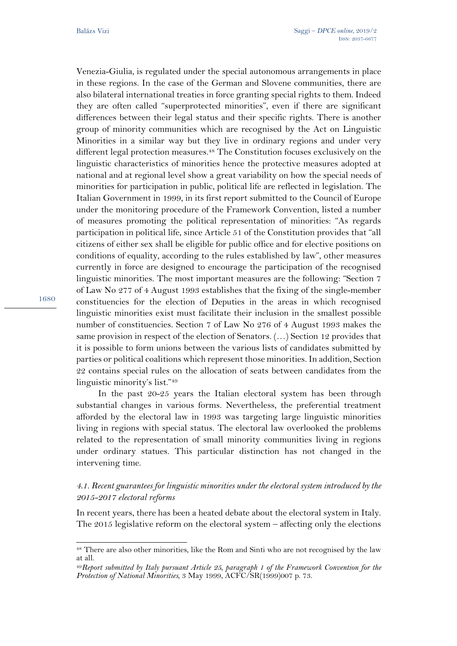Venezia-Giulia, is regulated under the special autonomous arrangements in place in these regions. In the case of the German and Slovene communities, there are also bilateral international treaties in force granting special rights to them. Indeed they are often called "superprotected minorities", even if there are significant differences between their legal status and their specific rights. There is another group of minority communities which are recognised by the Act on Linguistic Minorities in a similar way but they live in ordinary regions and under very different legal protection measures.48 The Constitution focuses exclusively on the linguistic characteristics of minorities hence the protective measures adopted at national and at regional level show a great variability on how the special needs of minorities for participation in public, political life are reflected in legislation. The Italian Government in 1999, in its first report submitted to the Council of Europe under the monitoring procedure of the Framework Convention, listed a number of measures promoting the political representation of minorities: "As regards participation in political life, since Article 51 of the Constitution provides that "all citizens of either sex shall be eligible for public office and for elective positions on conditions of equality, according to the rules established by law", other measures currently in force are designed to encourage the participation of the recognised linguistic minorities. The most important measures are the following: "Section 7 of Law No 277 of 4 August 1993 establishes that the fixing of the single-member constituencies for the election of Deputies in the areas in which recognised linguistic minorities exist must facilitate their inclusion in the smallest possible number of constituencies. Section 7 of Law No 276 of 4 August 1993 makes the same provision in respect of the election of Senators. (…) Section 12 provides that it is possible to form unions between the various lists of candidates submitted by parties or political coalitions which represent those minorities. In addition, Section 22 contains special rules on the allocation of seats between candidates from the linguistic minority's list."49

In the past 20-25 years the Italian electoral system has been through substantial changes in various forms. Nevertheless, the preferential treatment afforded by the electoral law in 1993 was targeting large linguistic minorities living in regions with special status. The electoral law overlooked the problems related to the representation of small minority communities living in regions under ordinary statues. This particular distinction has not changed in the intervening time.

# *4.1. Recent guarantees for linguistic minorities under the electoral system introduced by the 2015-2017 electoral reforms*

In recent years, there has been a heated debate about the electoral system in Italy. The 2015 legislative reform on the electoral system – affecting only the elections

<sup>48</sup> There are also other minorities, like the Rom and Sinti who are not recognised by the law at all.

<sup>49</sup>*Report submitted by Italy pursuant Article 25, paragraph 1 of the Framework Convention for the Protection of National Minorities*, 3 May 1999, ACFC/SR(1999)007 p. 73.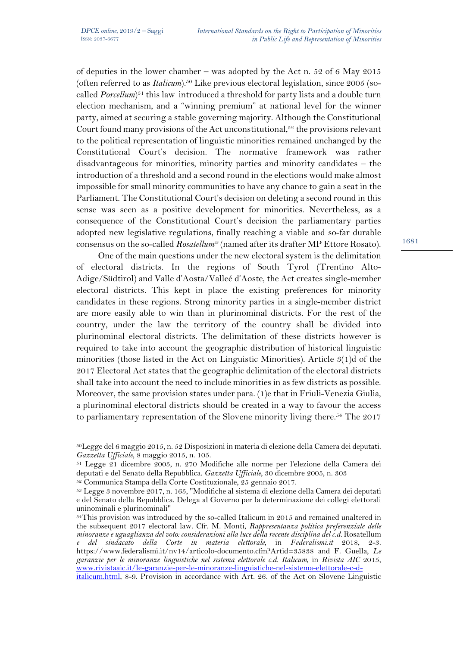of deputies in the lower chamber – was adopted by the Act n. 52 of 6 May 2015 (often referred to as *Italicum*).<sup>50</sup> Like previous electoral legislation, since 2005 (socalled *Porcellum*<sup>51</sup> this law introduced a threshold for party lists and a double turn election mechanism, and a "winning premium" at national level for the winner party, aimed at securing a stable governing majority. Although the Constitutional Court found many provisions of the Act unconstitutional,  $5<sup>2</sup>$  the provisions relevant to the political representation of linguistic minorities remained unchanged by the Constitutional Court's decision. The normative framework was rather disadvantageous for minorities, minority parties and minority candidates – the introduction of a threshold and a second round in the elections would make almost impossible for small minority communities to have any chance to gain a seat in the Parliament. The Constitutional Court's decision on deleting a second round in this sense was seen as a positive development for minorities. Nevertheless, as a consequence of the Constitutional Court's decision the parliamentary parties adopted new legislative regulations, finally reaching a viable and so-far durable consensus on the so-called *Rosatellum53* (named after its drafter MP Ettore Rosato).

One of the main questions under the new electoral system is the delimitation of electoral districts. In the regions of South Tyrol (Trentino Alto-Adige/Südtirol) and Valle d'Aosta/Valleé d'Aoste, the Act creates single-member electoral districts. This kept in place the existing preferences for minority candidates in these regions. Strong minority parties in a single-member district are more easily able to win than in plurinominal districts. For the rest of the country, under the law the territory of the country shall be divided into plurinominal electoral districts. The delimitation of these districts however is required to take into account the geographic distribution of historical linguistic minorities (those listed in the Act on Linguistic Minorities). Article 3(1)d of the 2017 Electoral Act states that the geographic delimitation of the electoral districts shall take into account the need to include minorities in as few districts as possible. Moreover, the same provision states under para. (1)e that in Friuli-Venezia Giulia, a plurinominal electoral districts should be created in a way to favour the access to parliamentary representation of the Slovene minority living there.<sup>54</sup> The 2017

<sup>50</sup>Legge del 6 maggio 2015, n. 52 Disposizioni in materia di elezione della Camera dei deputati. *Gazzetta Ufficiale*, 8 maggio 2015, n. 105.

<sup>51</sup> Legge 21 dicembre 2005, n. 270 Modifiche alle norme per l'elezione della Camera dei deputati e del Senato della Repubblica. Gazzetta Ufficiale, 30 dicembre 2005, n. 303<br><sup>52</sup> Communica Stampa della Corte Costituzionale, 25 gennaio 2017.<br><sup>53</sup> Legge 3 novembre 2017, n. 165, "Modifiche al sistema di elezione

e del Senato della Repubblica. Delega al Governo per la determinazione dei collegi elettorali uninominali e plurinominali"

 $54$ This provision was introduced by the so-called Italicum in 2015 and remained unaltered in the subsequent 2017 electoral law. Cfr. M. Monti, *Rappresentanza politica preferenziale delle minoranze e uguaglianza del voto: considerazioni alla luce della recente disciplina del c.d.* Rosatellum *e del sindacato della Corte in materia elettorale*, in *Federalismi.it* 2018, 2-3. https://www.federalismi.it/nv14/articolo-documento.cfm?Artid=35838 and F. Guella, *Le garanzie per le minoranze linguistiche nel sistema elettorale c.d. Italicum*, in *Rivista AIC* 2015, www.rivistaaic.it/le-garanzie-per-le-minoranze-linguistiche-nel-sistema-elettorale-c-d-

italicum.html, 8-9. Provision in accordance with Art. 26. of the Act on Slovene Linguistic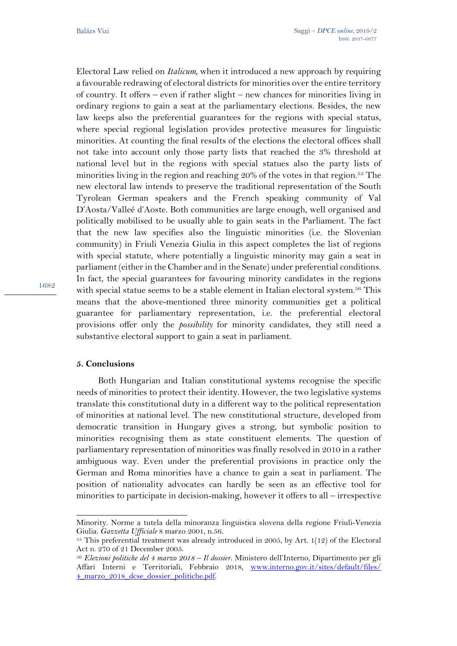Electoral Law relied on *Italicum,* when it introduced a new approach by requiring a favourable redrawing of electoral districts for minorities over the entire territory of country. It offers – even if rather slight – new chances for minorities living in ordinary regions to gain a seat at the parliamentary elections. Besides, the new law keeps also the preferential guarantees for the regions with special status, where special regional legislation provides protective measures for linguistic minorities. At counting the final results of the elections the electoral offices shall not take into account only those party lists that reached the 3% threshold at national level but in the regions with special statues also the party lists of minorities living in the region and reaching 20% of the votes in that region.55 The new electoral law intends to preserve the traditional representation of the South Tyrolean German speakers and the French speaking community of Val D'Aosta/Valleé d'Aoste. Both communities are large enough, well organised and politically mobilised to be usually able to gain seats in the Parliament. The fact that the new law specifies also the linguistic minorities (i.e. the Slovenian community) in Friuli Venezia Giulia in this aspect completes the list of regions with special statute, where potentially a linguistic minority may gain a seat in parliament (either in the Chamber and in the Senate) under preferential conditions. In fact, the special guarantees for favouring minority candidates in the regions with special statue seems to be a stable element in Italian electoral system.<sup>56</sup> This means that the above-mentioned three minority communities get a political guarantee for parliamentary representation, i.e. the preferential electoral provisions offer only the *possibility* for minority candidates, they still need a substantive electoral support to gain a seat in parliament.

### **5. Conclusions**

 $\overline{a}$ 

Both Hungarian and Italian constitutional systems recognise the specific needs of minorities to protect their identity. However, the two legislative systems translate this constitutional duty in a different way to the political representation of minorities at national level. The new constitutional structure, developed from democratic transition in Hungary gives a strong, but symbolic position to minorities recognising them as state constituent elements. The question of parliamentary representation of minorities was finally resolved in 2010 in a rather ambiguous way. Even under the preferential provisions in practice only the German and Roma minorities have a chance to gain a seat in parliament. The position of nationality advocates can hardly be seen as an effective tool for minorities to participate in decision-making, however it offers to all – irrespective

Minority. Norme a tutela della minoranza linguistica slovena della regione Friuli-Venezia Giulia. *Gazzetta Ufficiale* 8 marzo 2001, n.56.<br><sup>55</sup> This preferential treatment was already introduced in 2005, by Art. 1(12) of the Electoral

Act n. 270 of 21 December 2005.

<sup>56</sup> *Elezioni politiche del 4 marzo 2018 – Il dossier*. Ministero dell'Interno, Dipartimento per gli Affari Interni e Territoriali, Febbraio 2018, www.interno.gov.it/sites/default/files/ 4\_marzo\_2018\_dcse\_dossier\_politiche.pdf.